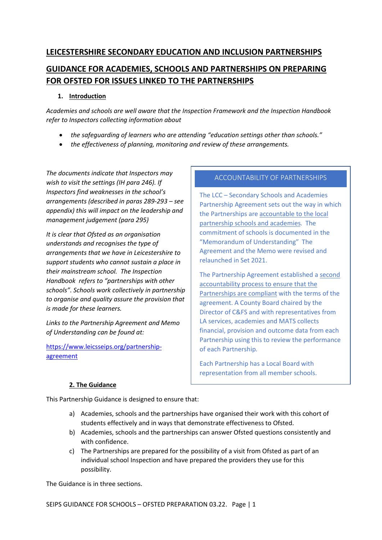# **LEICESTERSHIRE SECONDARY EDUCATION AND INCLUSION PARTNERSHIPS GUIDANCE FOR ACADEMIES, SCHOOLS AND PARTNERSHIPS ON PREPARING**

**FOR OFSTED FOR ISSUES LINKED TO THE PARTNERSHIPS**

# **1. Introduction**

*Academies and schools are well aware that the Inspection Framework and the Inspection Handbook refer to Inspectors collecting information about*

- *the safeguarding of learners who are attending "education settings other than schools."*
- *the effectiveness of planning, monitoring and review of these arrangements.*

*The documents indicate that Inspectors may wish to visit the settings (IH para 246). If Inspectors find weaknesses in the school's arrangements (described in paras 289-293 – see appendix) this will impact on the leadership and management judgement (para 295)*

*It is clear that Ofsted as an organisation understands and recognises the type of arrangements that we have in Leicestershire to support students who cannot sustain a place in their mainstream school. The Inspection Handbook refers to "partnerships with other schools". Schools work collectively in partnership to organise and quality assure the provision that is made for these learners.* 

*Links to the Partnership Agreement and Memo of Understanding can be found at:*

[https://www.leicsseips.org/partnership](https://www.leicsseips.org/partnership-agreement)[agreement](https://www.leicsseips.org/partnership-agreement)

# ACCOUNTABILITY OF PARTNERSHIPS

The LCC – Secondary Schools and Academies Partnership Agreement sets out the way in which the Partnerships are accountable to the local partnership schools and academies. The commitment of schools is documented in the "Memorandum of Understanding" The Agreement and the Memo were revised and relaunched in Set 2021.

The Partnership Agreement established a second accountability process to ensure that the Partnerships are compliant with the terms of the agreement. A County Board chaired by the Director of C&FS and with representatives from LA services, academies and MATS collects financial, provision and outcome data from each Partnership using this to review the performance of each Partnership.

Each Partnership has a Local Board with representation from all member schools.

# **2. The Guidance**

This Partnership Guidance is designed to ensure that:

- a) Academies, schools and the partnerships have organised their work with this cohort of students effectively and in ways that demonstrate effectiveness to Ofsted.
- b) Academies, schools and the partnerships can answer Ofsted questions consistently and with confidence.
- c) The Partnerships are prepared for the possibility of a visit from Ofsted as part of an individual school Inspection and have prepared the providers they use for this possibility.

The Guidance is in three sections.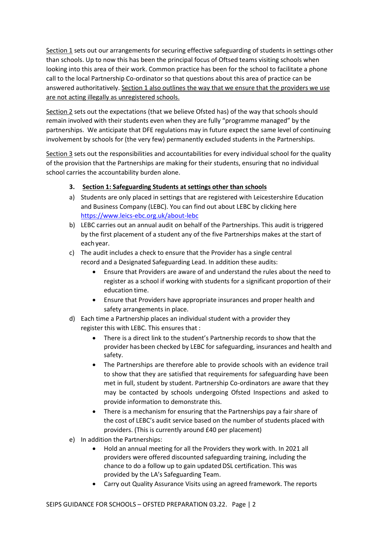Section 1 sets out our arrangements for securing effective safeguarding of students in settings other than schools. Up to now this has been the principal focus of Oftsed teams visiting schools when looking into this area of their work. Common practice has been for the school to facilitate a phone call to the local Partnership Co-ordinator so that questions about this area of practice can be answered authoritatively. Section 1 also outlines the way that we ensure that the providers we use are not acting illegally as unregistered schools.

Section 2 sets out the expectations (that we believe Ofsted has) of the way that schools should remain involved with their students even when they are fully "programme managed" by the partnerships. We anticipate that DFE regulations may in future expect the same level of continuing involvement by schools for (the very few) permanently excluded students in the Partnerships.

Section 3 sets out the responsibilities and accountabilities for every individual school for the quality of the provision that the Partnerships are making for their students, ensuring that no individual school carries the accountability burden alone.

### **3. Section 1: Safeguarding Students at settings other than schools**

- a) Students are only placed in settings that are registered with Leicestershire Education and Business Company (LEBC). You can find out about LEBC by clicking here <https://www.leics-ebc.org.uk/about-lebc>
- b) LEBC carries out an annual audit on behalf of the Partnerships. This audit is triggered by the first placement of a student any of the five Partnerships makes at the start of each year.
- c) The audit includes a check to ensure that the Provider has a single central record and a Designated Safeguarding Lead. In addition these audits:
	- Ensure that Providers are aware of and understand the rules about the need to register as a school if working with students for a significant proportion of their education time.
	- Ensure that Providers have appropriate insurances and proper health and safety arrangements in place.
- d) Each time a Partnership places an individual student with a provider they register this with LEBC. This ensures that :
	- There is a direct link to the student's Partnership records to show that the provider has been checked by LEBC for safeguarding, insurances and health and safety.
	- The Partnerships are therefore able to provide schools with an evidence trail to show that they are satisfied that requirements for safeguarding have been met in full, student by student. Partnership Co-ordinators are aware that they may be contacted by schools undergoing Ofsted Inspections and asked to provide information to demonstrate this.
	- There is a mechanism for ensuring that the Partnerships pay a fair share of the cost of LEBC's audit service based on the number of students placed with providers. (This is currently around £40 per placement)
- e) In addition the Partnerships:
	- Hold an annual meeting for all the Providers they work with. In 2021 all providers were offered discounted safeguarding training, including the chance to do a follow up to gain updated DSL certification. This was provided by the LA's Safeguarding Team.
	- Carry out Quality Assurance Visits using an agreed framework. The reports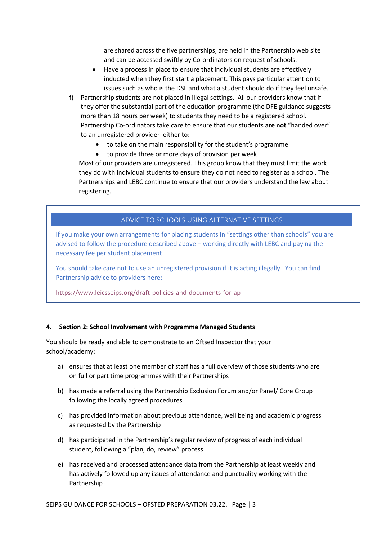are shared across the five partnerships, are held in the Partnership web site and can be accessed swiftly by Co-ordinators on request of schools.

- Have a process in place to ensure that individual students are effectively inducted when they first start a placement. This pays particular attention to issues such as who is the DSL and what a student should do if they feel unsafe.
- f) Partnership students are not placed in illegal settings. All our providers know that if they offer the substantial part of the education programme (the DFE guidance suggests more than 18 hours per week) to students they need to be a registered school. Partnership Co-ordinators take care to ensure that our students **are not** "handed over" to an unregistered provider either to:
	- to take on the main responsibility for the student's programme
	- to provide three or more days of provision per week

Most of our providers are unregistered. This group know that they must limit the work they do with individual students to ensure they do not need to register as a school. The Partnerships and LEBC continue to ensure that our providers understand the law about registering.

## ADVICE TO SCHOOLS USING ALTERNATIVE SETTINGS

If you make your own arrangements for placing students in "settings other than schools" you are advised to follow the procedure described above – working directly with LEBC and paying the necessary fee per student placement.

You should take care not to use an unregistered provision if it is acting illegally. You can find Partnership advice to providers here:

<https://www.leicsseips.org/draft-policies-and-documents-for-ap>

#### **4. Section 2: School Involvement with Programme Managed Students**

You should be ready and able to demonstrate to an Oftsed Inspector that your school/academy:

- a) ensures that at least one member of staff has a full overview of those students who are on full or part time programmes with their Partnerships
- b) has made a referral using the Partnership Exclusion Forum and/or Panel/ Core Group following the locally agreed procedures
- c) has provided information about previous attendance, well being and academic progress as requested by the Partnership
- d) has participated in the Partnership's regular review of progress of each individual student, following a "plan, do, review" process
- e) has received and processed attendance data from the Partnership at least weekly and has actively followed up any issues of attendance and punctuality working with the Partnership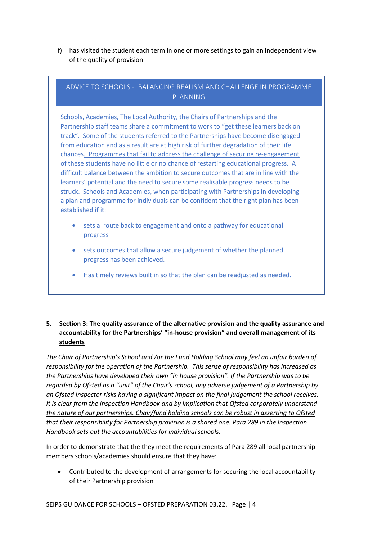f) has visited the student each term in one or more settings to gain an independent view of the quality of provision

# ADVICE TO SCHOOLS - BALANCING REALISM AND CHALLENGE IN PROGRAMME PLANNING

Schools, Academies, The Local Authority, the Chairs of Partnerships and the Partnership staff teams share a commitment to work to "get these learners back on track". Some of the students referred to the Partnerships have become disengaged from education and as a result are at high risk of further degradation of their life chances. Programmes that fail to address the challenge of securing re-engagement of these students have no little or no chance of restarting educational progress. A difficult balance between the ambition to secure outcomes that are in line with the learners' potential and the need to secure some realisable progress needs to be struck. Schools and Academies, when participating with Partnerships in developing a plan and programme for individuals can be confident that the right plan has been established if it:

- sets a route back to engagement and onto a pathway for educational progress
- sets outcomes that allow a secure judgement of whether the planned progress has been achieved.
- Has timely reviews built in so that the plan can be readjusted as needed.

### **5. Section 3: The quality assurance of the alternative provision and the quality assurance and accountability for the Partnerships' "in-house provision" and overall management of its students**

*The Chair of Partnership's School and /or the Fund Holding School may feel an unfair burden of responsibility for the operation of the Partnership. This sense of responsibility has increased as the Partnerships have developed their own "in house provision". If the Partnership was to be regarded by Ofsted as a "unit" of the Chair's school, any adverse judgement of a Partnership by an Ofsted Inspector risks having a significant impact on the final judgement the school receives. It is clear from the Inspection Handbook and by implication that Ofsted corporately understand the nature of our partnerships. Chair/fund holding schools can be robust in asserting to Ofsted that their responsibility for Partnership provision is a shared one. Para 289 in the Inspection Handbook sets out the accountabilities for individual schools.* 

In order to demonstrate that the they meet the requirements of Para 289 all local partnership members schools/academies should ensure that they have:

• Contributed to the development of arrangements for securing the local accountability of their Partnership provision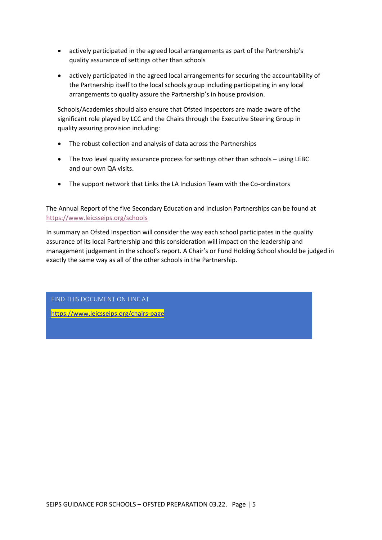- actively participated in the agreed local arrangements as part of the Partnership's quality assurance of settings other than schools
- actively participated in the agreed local arrangements for securing the accountability of the Partnership itself to the local schools group including participating in any local arrangements to quality assure the Partnership's in house provision.

Schools/Academies should also ensure that Ofsted Inspectors are made aware of the significant role played by LCC and the Chairs through the Executive Steering Group in quality assuring provision including:

- The robust collection and analysis of data across the Partnerships
- The two level quality assurance process for settings other than schools using LEBC and our own QA visits.
- The support network that Links the LA Inclusion Team with the Co-ordinators

The Annual Report of the five Secondary Education and Inclusion Partnerships can be found at <https://www.leicsseips.org/schools>

In summary an Ofsted Inspection will consider the way each school participates in the quality assurance of its local Partnership and this consideration will impact on the leadership and management judgement in the school's report. A Chair's or Fund Holding School should be judged in exactly the same way as all of the other schools in the Partnership.

FIND THIS DOCUMENT ON LINE AT

<https://www.leicsseips.org/chairs-page>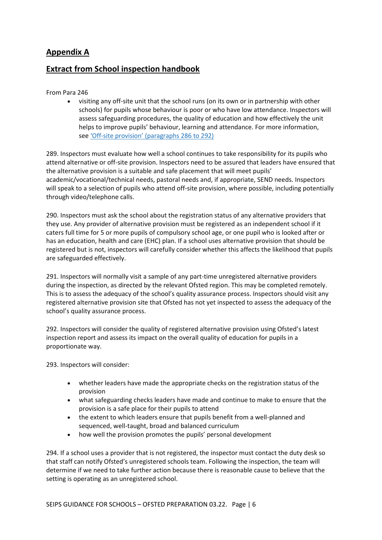# **Appendix A**

# **Extract from School inspection handbook**

#### From Para 246

• visiting any off-site unit that the school runs (on its own or in partnership with other schools) for pupils whose behaviour is poor or who have low attendance. Inspectors will assess safeguarding procedures, the quality of education and how effectively the unit helps to improve pupils' behaviour, learning and attendance. For more information, see 'Off-[site provision' \(paragraphs 286 to 292\)](about:blank#off-site-provision)

289. Inspectors must evaluate how well a school continues to take responsibility for its pupils who attend alternative or off-site provision. Inspectors need to be assured that leaders have ensured that the alternative provision is a suitable and safe placement that will meet pupils' academic/vocational/technical needs, pastoral needs and, if appropriate, SEND needs. Inspectors will speak to a selection of pupils who attend off-site provision, where possible, including potentially through video/telephone calls.

290. Inspectors must ask the school about the registration status of any alternative providers that they use. Any provider of alternative provision must be registered as an independent school if it caters full time for 5 or more pupils of compulsory school age, or one pupil who is looked after or has an education, health and care (EHC) plan. If a school uses alternative provision that should be registered but is not, inspectors will carefully consider whether this affects the likelihood that pupils are safeguarded effectively.

291. Inspectors will normally visit a sample of any part-time unregistered alternative providers during the inspection, as directed by the relevant Ofsted region. This may be completed remotely. This is to assess the adequacy of the school's quality assurance process. Inspectors should visit any registered alternative provision site that Ofsted has not yet inspected to assess the adequacy of the school's quality assurance process.

292. Inspectors will consider the quality of registered alternative provision using Ofsted's latest inspection report and assess its impact on the overall quality of education for pupils in a proportionate way.

293. Inspectors will consider:

- whether leaders have made the appropriate checks on the registration status of the provision
- what safeguarding checks leaders have made and continue to make to ensure that the provision is a safe place for their pupils to attend
- the extent to which leaders ensure that pupils benefit from a well-planned and sequenced, well-taught, broad and balanced curriculum
- how well the provision promotes the pupils' personal development

294. If a school uses a provider that is not registered, the inspector must contact the duty desk so that staff can notify Ofsted's unregistered schools team. Following the inspection, the team will determine if we need to take further action because there is reasonable cause to believe that the setting is operating as an unregistered school.